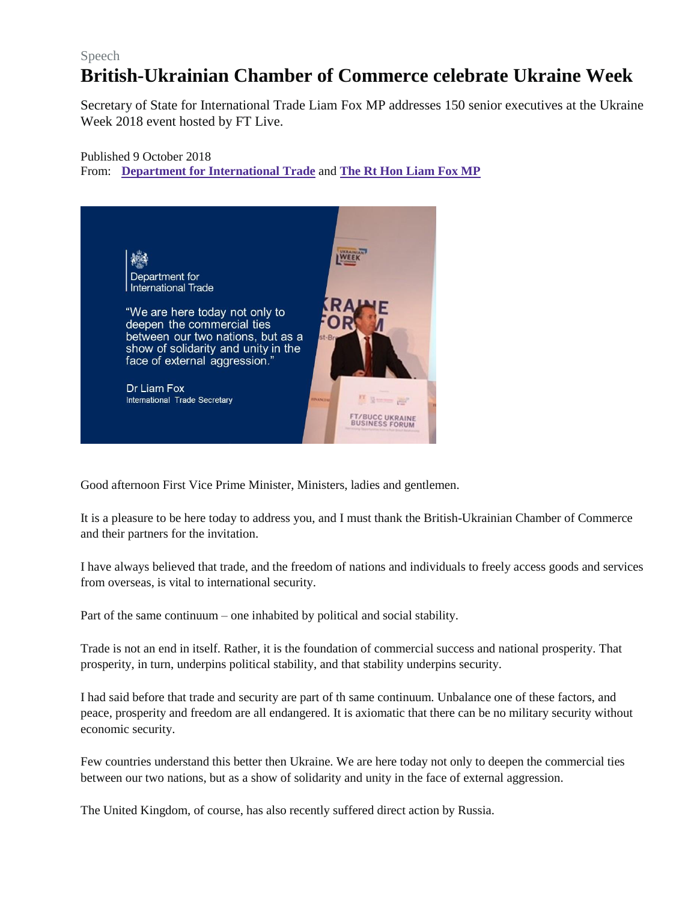## Speech **British-Ukrainian Chamber of Commerce celebrate Ukraine Week**

Secretary of State for International Trade Liam Fox MP addresses 150 senior executives at the Ukraine Week 2018 event hosted by FT Live.

## Published 9 October 2018 From: **Department for [International](https://www.gov.uk/government/organisations/department-for-international-trade) Trade** and **The Rt Hon [Liam](https://www.gov.uk/government/people/liam-fox) Fox MP**



Good afternoon First Vice Prime Minister, Ministers, ladies and gentlemen.

It is a pleasure to be here today to address you, and I must thank the British-Ukrainian Chamber of Commerce and their partners for the invitation.

I have always believed that trade, and the freedom of nations and individuals to freely access goods and services from overseas, is vital to international security.

Part of the same continuum – one inhabited by political and social stability.

Trade is not an end in itself. Rather, it is the foundation of commercial success and national prosperity. That prosperity, in turn, underpins political stability, and that stability underpins security.

I had said before that trade and security are part of th same continuum. Unbalance one of these factors, and peace, prosperity and freedom are all endangered. It is axiomatic that there can be no military security without economic security.

Few countries understand this better then Ukraine. We are here today not only to deepen the commercial ties between our two nations, but as a show of solidarity and unity in the face of external aggression.

The United Kingdom, of course, has also recently suffered direct action by Russia.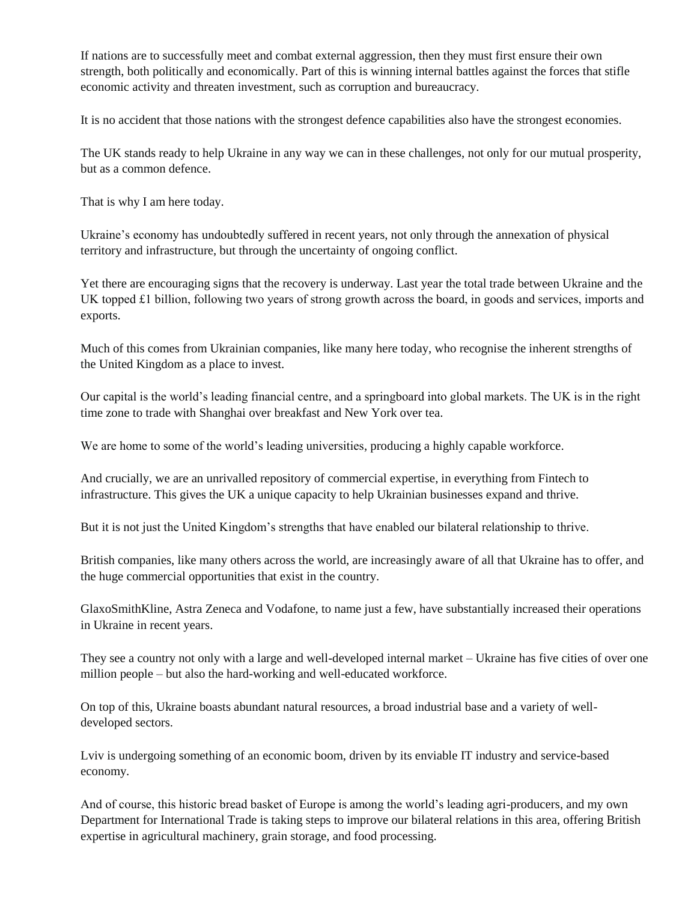If nations are to successfully meet and combat external aggression, then they must first ensure their own strength, both politically and economically. Part of this is winning internal battles against the forces that stifle economic activity and threaten investment, such as corruption and bureaucracy.

It is no accident that those nations with the strongest defence capabilities also have the strongest economies.

The UK stands ready to help Ukraine in any way we can in these challenges, not only for our mutual prosperity, but as a common defence.

That is why I am here today.

Ukraine's economy has undoubtedly suffered in recent years, not only through the annexation of physical territory and infrastructure, but through the uncertainty of ongoing conflict.

Yet there are encouraging signs that the recovery is underway. Last year the total trade between Ukraine and the UK topped £1 billion, following two years of strong growth across the board, in goods and services, imports and exports.

Much of this comes from Ukrainian companies, like many here today, who recognise the inherent strengths of the United Kingdom as a place to invest.

Our capital is the world's leading financial centre, and a springboard into global markets. The UK is in the right time zone to trade with Shanghai over breakfast and New York over tea.

We are home to some of the world's leading universities, producing a highly capable workforce.

And crucially, we are an unrivalled repository of commercial expertise, in everything from Fintech to infrastructure. This gives the UK a unique capacity to help Ukrainian businesses expand and thrive.

But it is not just the United Kingdom's strengths that have enabled our bilateral relationship to thrive.

British companies, like many others across the world, are increasingly aware of all that Ukraine has to offer, and the huge commercial opportunities that exist in the country.

GlaxoSmithKline, Astra Zeneca and Vodafone, to name just a few, have substantially increased their operations in Ukraine in recent years.

They see a country not only with a large and well-developed internal market – Ukraine has five cities of over one million people – but also the hard-working and well-educated workforce.

On top of this, Ukraine boasts abundant natural resources, a broad industrial base and a variety of welldeveloped sectors.

Lviv is undergoing something of an economic boom, driven by its enviable IT industry and service-based economy.

And of course, this historic bread basket of Europe is among the world's leading agri-producers, and my own Department for International Trade is taking steps to improve our bilateral relations in this area, offering British expertise in agricultural machinery, grain storage, and food processing.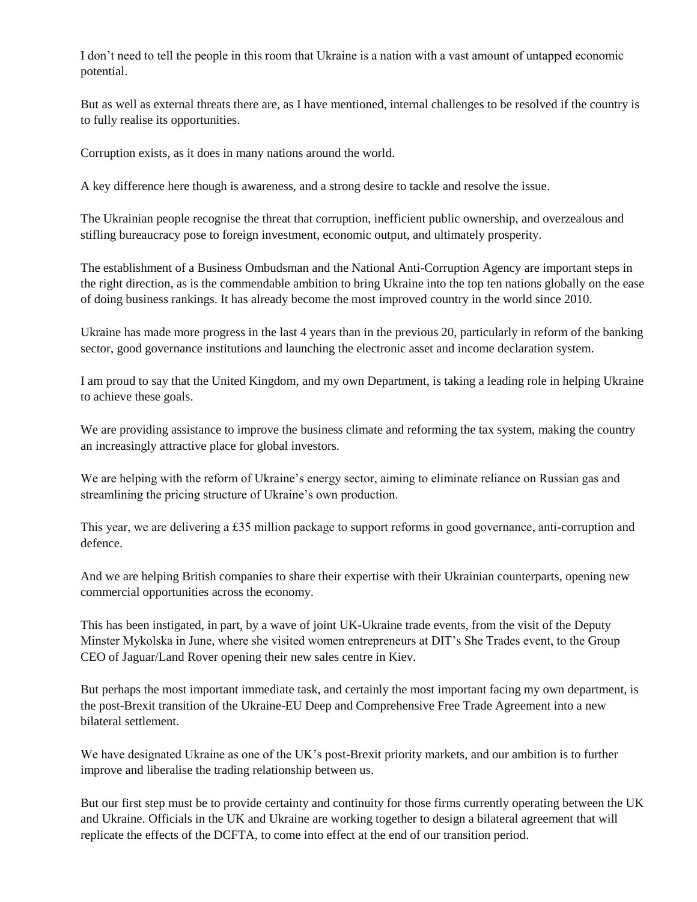I don't need to tell the people in this room that Ukraine is a nation with a vast amount of untapped economic potential.

But as well as external threats there are, as I have mentioned, internal challenges to be resolved if the country is to fully realise its opportunities.

Corruption exists, as it does in many nations around the world.

A key difference here though is awareness, and a strong desire to tackle and resolve the issue.

The Ukrainian people recognise the threat that corruption, inefficient public ownership, and overzealous and stifling bureaucracy pose to foreign investment, economic output, and ultimately prosperity.

The establishment of a Business Ombudsman and the National Anti-Corruption Agency are important steps in the right direction, as is the commendable ambition to bring Ukraine into the top ten nations globally on the ease of doing business rankings. It has already become the most improved country in the world since 2010.

Ukraine has made more progress in the last 4 years than in the previous 20, particularly in reform of the banking sector, good governance institutions and launching the electronic asset and income declaration system.

I am proud to say that the United Kingdom, and my own Department, is taking a leading role in helping Ukraine to achieve these goals.

We are providing assistance to improve the business climate and reforming the tax system, making the country an increasingly attractive place for global investors.

We are helping with the reform of Ukraine's energy sector, aiming to eliminate reliance on Russian gas and streamlining the pricing structure of Ukraine's own production.

This year, we are delivering a £35 million package to support reforms in good governance, anti-corruption and defence.

And we are helping British companies to share their expertise with their Ukrainian counterparts, opening new commercial opportunities across the economy.

This has been instigated, in part, by a wave of joint UK-Ukraine trade events, from the visit of the Deputy Minster Mykolska in June, where she visited women entrepreneurs at DIT's She Trades event, to the Group CEO of Jaguar/Land Rover opening their new sales centre in Kiev.

But perhaps the most important immediate task, and certainly the most important facing my own department, is the post-Brexit transition of the Ukraine-EU Deep and Comprehensive Free Trade Agreement into a new bilateral settlement.

We have designated Ukraine as one of the UK's post-Brexit priority markets, and our ambition is to further improve and liberalise the trading relationship between us.

But our first step must be to provide certainty and continuity for those firms currently operating between the UK and Ukraine. Officials in the UK and Ukraine are working together to design a bilateral agreement that will replicate the effects of the DCFTA, to come into effect at the end of our transition period.